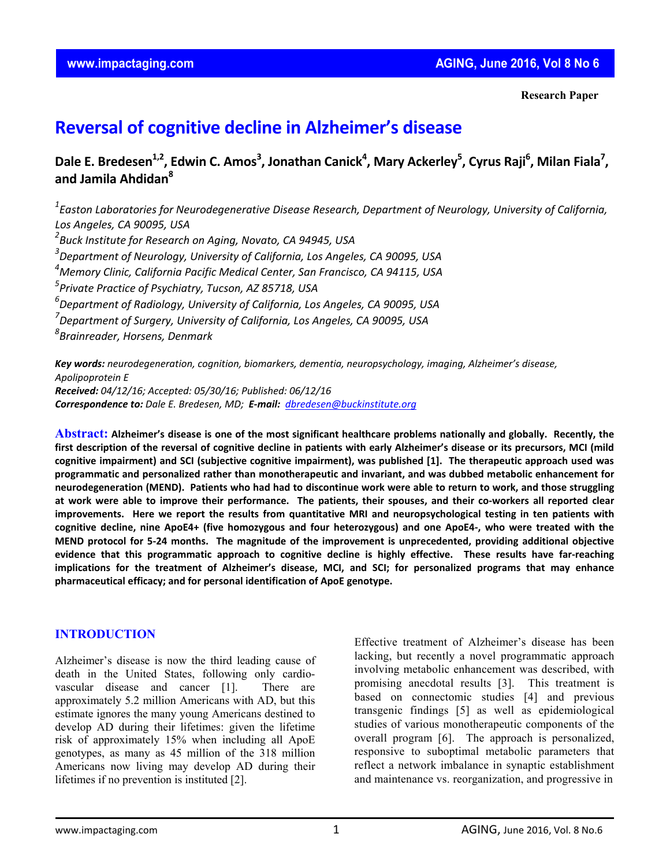**Research Paper**

# **Reversal of cognitive decline in Alzheimer's disease**

Dale E. Bredesen<sup>1,2</sup>, Edwin C. Amos<sup>3</sup>, Jonathan Canick<sup>4</sup>, Mary Ackerley<sup>5</sup>, Cyrus Raji<sup>6</sup>, Milan Fiala<sup>7</sup>, **and Jamila Ahdidan8**

*1 Easton Laboratories for Neurodegenerative Disease Research, Department of Neurology, University of California, Los Angeles, CA 90095, USA*

*2 Buck Institute for Research on Aging, Novato, CA 94945, USA*

*3 Department of Neurology, University of California, Los Angeles, CA 90095, USA*

*4 Memory Clinic, California Pacific Medical Center, San Francisco, CA 94115, USA*

*5 Private Practice of Psychiatry, Tucson, AZ 85718, USA* 

*6 Department of Radiology, University of California, Los Angeles, CA 90095, USA*

*7 Department of Surgery, University of California, Los Angeles, CA 90095, USA*

*8 Brainreader, Horsens, Denmark*

*Key words: neurodegeneration, cognition, biomarkers, dementia, neuropsychology, imaging, Alzheimer's disease, Apolipoprotein E Received: 04/12/16; Accepted: 05/30/16; Published: 06/12/16 Correspondence to: Dale E. Bredesen, MD; E‐mail: dbredesen@buckinstitute.org*

Abstract: Alzheimer's disease is one of the most significant healthcare problems nationally and globally. Recently, the first description of the reversal of cognitive decline in patients with early Alzheimer's disease or its precursors, MCI (mild cognitive impairment) and SCI (subjective cognitive impairment), was published [1]. The therapeutic approach used was **programmatic and personalized rather than monotherapeutic and invariant, and was dubbed metabolic enhancement for** neurodegeneration (MEND). Patients who had had to discontinue work were able to return to work, and those struggling at work were able to improve their performance. The patients, their spouses, and their co-workers all reported clear improvements. Here we report the results from quantitative MRI and neuropsychological testing in ten patients with cognitive decline, nine ApoE4+ (five homozygous and four heterozygous) and one ApoE4-, who were treated with the MEND protocol for 5-24 months. The magnitude of the improvement is unprecedented, providing additional objective evidence that this programmatic approach to cognitive decline is highly effective. These results have far-reaching **implications for the treatment of Alzheimer's disease, MCI, and SCI; for personalized programs that may enhance pharmaceutical efficacy; and for personal identification of ApoE genotype.** 

## **INTRODUCTION**

Alzheimer's disease is now the third leading cause of death in the United States, following only cardiovascular disease and cancer [1]. There are approximately 5.2 million Americans with AD, but this estimate ignores the many young Americans destined to develop AD during their lifetimes: given the lifetime risk of approximately 15% when including all ApoE genotypes, as many as 45 million of the 318 million Americans now living may develop AD during their lifetimes if no prevention is instituted [2].

Effective treatment of Alzheimer's disease has been lacking, but recently a novel programmatic approach involving metabolic enhancement was described, with promising anecdotal results [3]. This treatment is based on connectomic studies [4] and previous transgenic findings [5] as well as epidemiological studies of various monotherapeutic components of the overall program [6]. The approach is personalized, responsive to suboptimal metabolic parameters that reflect a network imbalance in synaptic establishment and maintenance vs. reorganization, and progressive in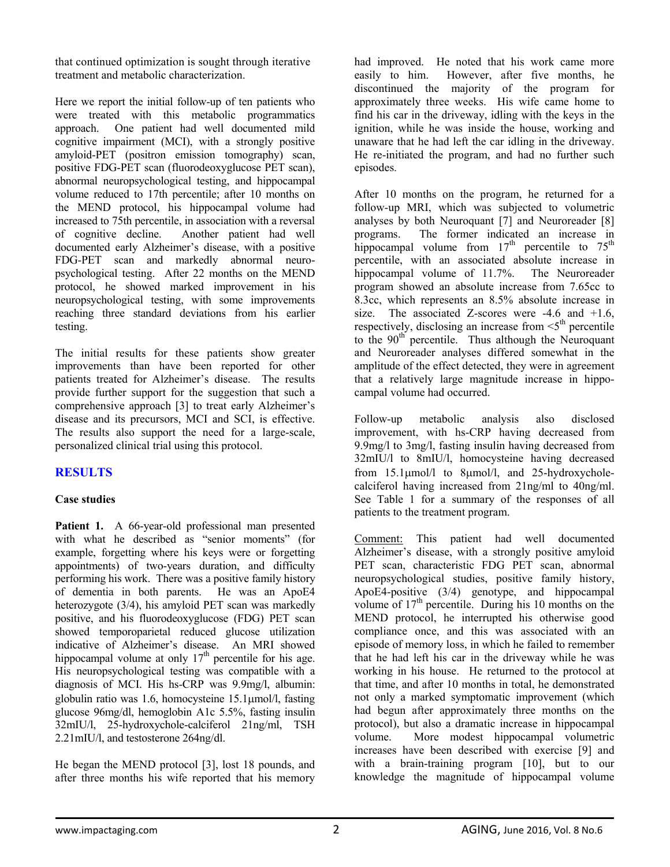that continued optimization is sought through iterative treatment and metabolic characterization.

Here we report the initial follow-up of ten patients who were treated with this metabolic programmatics approach. One patient had well documented mild cognitive impairment (MCI), with a strongly positive amyloid-PET (positron emission tomography) scan, positive FDG-PET scan (fluorodeoxyglucose PET scan), abnormal neuropsychological testing, and hippocampal volume reduced to 17th percentile; after 10 months on the MEND protocol, his hippocampal volume had increased to 75th percentile, in association with a reversal of cognitive decline. Another patient had well documented early Alzheimer's disease, with a positive FDG-PET scan and markedly abnormal neuropsychological testing. After 22 months on the MEND protocol, he showed marked improvement in his neuropsychological testing, with some improvements reaching three standard deviations from his earlier testing.

The initial results for these patients show greater improvements than have been reported for other patients treated for Alzheimer's disease. The results provide further support for the suggestion that such a comprehensive approach [3] to treat early Alzheimer's disease and its precursors, MCI and SCI, is effective. The results also support the need for a large-scale, personalized clinical trial using this protocol.

## **RESULTS**

## **Case studies**

Patient 1. A 66-year-old professional man presented with what he described as "senior moments" (for example, forgetting where his keys were or forgetting appointments) of two-years duration, and difficulty performing his work. There was a positive family history of dementia in both parents. He was an ApoE4 heterozygote (3/4), his amyloid PET scan was markedly positive, and his fluorodeoxyglucose (FDG) PET scan showed temporoparietal reduced glucose utilization indicative of Alzheimer's disease. An MRI showed hippocampal volume at only  $17<sup>th</sup>$  percentile for his age. His neuropsychological testing was compatible with a diagnosis of MCI. His hs-CRP was 9.9mg/l, albumin: globulin ratio was 1.6, homocysteine 15.1μmol/l, fasting glucose 96mg/dl, hemoglobin A1c 5.5%, fasting insulin 32mIU/l, 25-hydroxychole-calciferol 21ng/ml, TSH 2.21mIU/l, and testosterone 264ng/dl.

He began the MEND protocol [3], lost 18 pounds, and after three months his wife reported that his memory

had improved. He noted that his work came more easily to him. However, after five months, he discontinued the majority of the program for approximately three weeks. His wife came home to find his car in the driveway, idling with the keys in the ignition, while he was inside the house, working and unaware that he had left the car idling in the driveway. He re-initiated the program, and had no further such episodes.

After 10 months on the program, he returned for a follow-up MRI, which was subjected to volumetric analyses by both Neuroquant [7] and Neuroreader [8] programs. The former indicated an increase in hippocampal volume from  $17<sup>th</sup>$  percentile to  $75<sup>th</sup>$ percentile, with an associated absolute increase in hippocampal volume of 11.7%. The Neuroreader program showed an absolute increase from 7.65cc to 8.3cc, which represents an 8.5% absolute increase in size. The associated Z-scores were -4.6 and +1.6, respectively, disclosing an increase from  $\leq 5$ <sup>th</sup> percentile to the  $90<sup>th</sup>$  percentile. Thus although the Neuroquant and Neuroreader analyses differed somewhat in the amplitude of the effect detected, they were in agreement that a relatively large magnitude increase in hippocampal volume had occurred.

Follow-up metabolic analysis also disclosed improvement, with hs-CRP having decreased from 9.9mg/l to 3mg/l, fasting insulin having decreased from 32mIU/l to 8mIU/l, homocysteine having decreased from 15.1μmol/l to 8μmol/l, and 25-hydroxycholecalciferol having increased from 21ng/ml to 40ng/ml. See Table 1 for a summary of the responses of all patients to the treatment program.

Comment: This patient had well documented Alzheimer's disease, with a strongly positive amyloid PET scan, characteristic FDG PET scan, abnormal neuropsychological studies, positive family history, ApoE4-positive (3/4) genotype, and hippocampal volume of  $17<sup>th</sup>$  percentile. During his 10 months on the MEND protocol, he interrupted his otherwise good compliance once, and this was associated with an episode of memory loss, in which he failed to remember that he had left his car in the driveway while he was working in his house. He returned to the protocol at that time, and after 10 months in total, he demonstrated not only a marked symptomatic improvement (which had begun after approximately three months on the protocol), but also a dramatic increase in hippocampal volume. More modest hippocampal volumetric increases have been described with exercise [9] and with a brain-training program [10], but to our knowledge the magnitude of hippocampal volume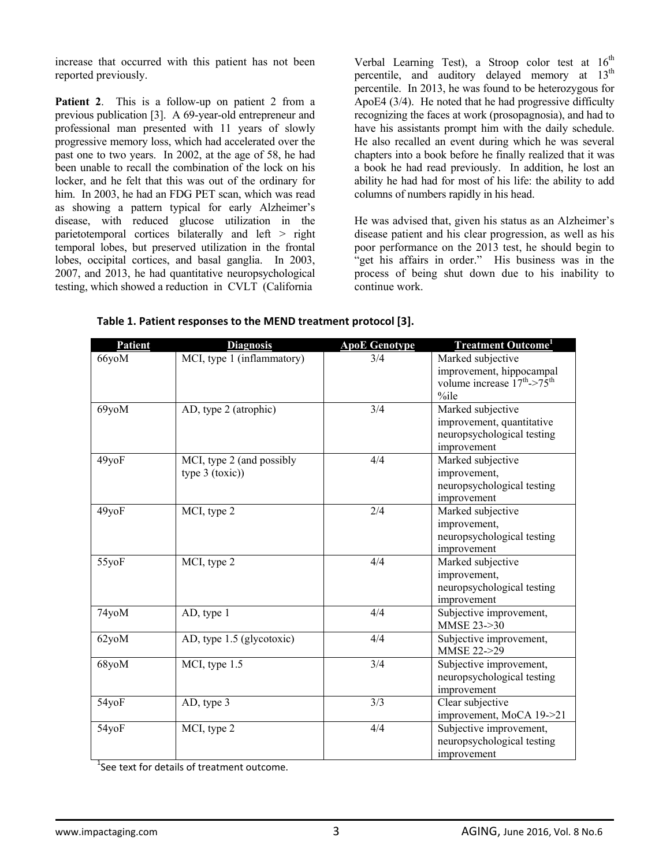increase that occurred with this patient has not been reported previously.

Patient 2. This is a follow-up on patient 2 from a previous publication [3]. A 69-year-old entrepreneur and professional man presented with 11 years of slowly progressive memory loss, which had accelerated over the past one to two years. In 2002, at the age of 58, he had been unable to recall the combination of the lock on his locker, and he felt that this was out of the ordinary for him. In 2003, he had an FDG PET scan, which was read as showing a pattern typical for early Alzheimer's disease, with reduced glucose utilization in the parietotemporal cortices bilaterally and left > right temporal lobes, but preserved utilization in the frontal lobes, occipital cortices, and basal ganglia. In 2003, 2007, and 2013, he had quantitative neuropsychological testing, which showed a reduction in CVLT (California

Verbal Learning Test), a Stroop color test at  $16<sup>th</sup>$ percentile, and auditory delayed memory at  $13<sup>th</sup>$ percentile. In 2013, he was found to be heterozygous for ApoE4 (3/4). He noted that he had progressive difficulty recognizing the faces at work (prosopagnosia), and had to have his assistants prompt him with the daily schedule. He also recalled an event during which he was several chapters into a book before he finally realized that it was a book he had read previously. In addition, he lost an ability he had had for most of his life: the ability to add columns of numbers rapidly in his head.

He was advised that, given his status as an Alzheimer's disease patient and his clear progression, as well as his poor performance on the 2013 test, he should begin to "get his affairs in order." His business was in the process of being shut down due to his inability to continue work.

| Patient | <b>Diagnosis</b>           | <b>ApoE Genotype</b> | <b>Treatment Outcome</b> <sup>1</sup> |
|---------|----------------------------|----------------------|---------------------------------------|
| 66yoM   | MCI, type 1 (inflammatory) | 3/4                  | Marked subjective                     |
|         |                            |                      | improvement, hippocampal              |
|         |                            |                      | volume increase $17^{th}$ > $75^{th}$ |
|         |                            |                      | $\%$ ile                              |
| 69yoM   | AD, type 2 (atrophic)      | 3/4                  | Marked subjective                     |
|         |                            |                      | improvement, quantitative             |
|         |                            |                      | neuropsychological testing            |
|         |                            |                      | improvement                           |
| 49yoF   | MCI, type 2 (and possibly  | 4/4                  | Marked subjective                     |
|         | type $3$ (toxic))          |                      | improvement,                          |
|         |                            |                      | neuropsychological testing            |
|         |                            |                      | improvement                           |
| 49yoF   | MCI, type 2                | 2/4                  | Marked subjective                     |
|         |                            |                      | improvement,                          |
|         |                            |                      | neuropsychological testing            |
|         |                            |                      | improvement                           |
| 55yoF   | MCI, type 2                | 4/4                  | Marked subjective                     |
|         |                            |                      | improvement,                          |
|         |                            |                      | neuropsychological testing            |
|         |                            |                      | improvement                           |
| 74yoM   | AD, type 1                 | 4/4                  | Subjective improvement,               |
|         |                            |                      | MMSE 23->30                           |
| 62yoM   | AD, type 1.5 (glycotoxic)  | 4/4                  | Subjective improvement,               |
|         |                            |                      | MMSE 22->29                           |
| 68yoM   | MCI, type 1.5              | 3/4                  | Subjective improvement,               |
|         |                            |                      | neuropsychological testing            |
|         |                            |                      | improvement                           |
| 54yoF   | AD, type 3                 | 3/3                  | Clear subjective                      |
|         |                            |                      | improvement, MoCA 19->21              |
| 54yoF   | MCI, type 2                | 4/4                  | Subjective improvement,               |
|         |                            |                      | neuropsychological testing            |
|         |                            |                      | improvement                           |

**Table 1. Patient responses to the MEND treatment protocol [3].**

<sup>1</sup>See text for details of treatment outcome.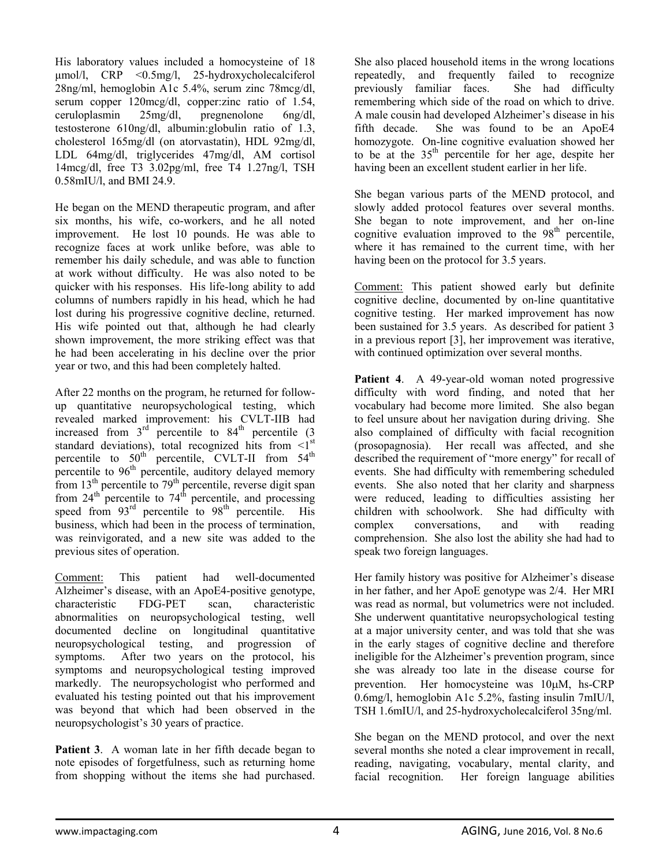His laboratory values included a homocysteine of 18 μmol/l, CRP <0.5mg/l, 25-hydroxycholecalciferol 28ng/ml, hemoglobin A1c 5.4%, serum zinc 78mcg/dl, serum copper 120mcg/dl, copper: zinc ratio of 1.54, ceruloplasmin 25mg/dl, pregnenolone 6ng/dl, testosterone 610ng/dl, albumin:globulin ratio of 1.3, cholesterol 165mg/dl (on atorvastatin), HDL 92mg/dl, LDL 64mg/dl, triglycerides 47mg/dl, AM cortisol 14mcg/dl, free T3 3.02pg/ml, free T4 1.27ng/l, TSH 0.58mIU/l, and BMI 24.9.

He began on the MEND therapeutic program, and after six months, his wife, co-workers, and he all noted improvement. He lost 10 pounds. He was able to recognize faces at work unlike before, was able to remember his daily schedule, and was able to function at work without difficulty. He was also noted to be quicker with his responses. His life-long ability to add columns of numbers rapidly in his head, which he had lost during his progressive cognitive decline, returned. His wife pointed out that, although he had clearly shown improvement, the more striking effect was that he had been accelerating in his decline over the prior year or two, and this had been completely halted.

After 22 months on the program, he returned for followup quantitative neuropsychological testing, which revealed marked improvement: his CVLT-IIB had increased from  $3<sup>rd</sup>$  percentile to  $84<sup>th</sup>$  percentile (3) standard deviations), total recognized hits from  $\leq l^{st}$ percentile to  $50^{\text{th}}$  percentile, CVLT-II from  $54^{\text{th}}$ percentile to  $96<sup>th</sup>$  percentile, auditory delayed memory from  $13<sup>th</sup>$  percentile to  $79<sup>th</sup>$  percentile, reverse digit span from  $24^{th}$  percentile to  $74^{th}$  percentile, and processing speed from 93<sup>rd</sup> percentile to 98<sup>th</sup> percentile. His business, which had been in the process of termination, was reinvigorated, and a new site was added to the previous sites of operation.

Comment: This patient had well-documented Alzheimer's disease, with an ApoE4-positive genotype, characteristic FDG-PET scan, characteristic abnormalities on neuropsychological testing, well documented decline on longitudinal quantitative<br>neuropsychological testing, and progression of neuropsychological testing, and symptoms. After two years on the protocol, his symptoms and neuropsychological testing improved markedly. The neuropsychologist who performed and evaluated his testing pointed out that his improvement was beyond that which had been observed in the neuropsychologist's 30 years of practice.

**Patient 3.** A woman late in her fifth decade began to note episodes of forgetfulness, such as returning home from shopping without the items she had purchased.

She also placed household items in the wrong locations repeatedly, and frequently failed to recognize previously familiar faces. She had difficulty remembering which side of the road on which to drive. A male cousin had developed Alzheimer's disease in his fifth decade. She was found to be an ApoE4 homozygote. On-line cognitive evaluation showed her to be at the  $35<sup>th</sup>$  percentile for her age, despite her having been an excellent student earlier in her life.

She began various parts of the MEND protocol, and slowly added protocol features over several months. She began to note improvement, and her on-line cognitive evaluation improved to the  $98<sup>th</sup>$  percentile, where it has remained to the current time, with her having been on the protocol for 3.5 years.

Comment: This patient showed early but definite cognitive decline, documented by on-line quantitative cognitive testing. Her marked improvement has now been sustained for 3.5 years. As described for patient 3 in a previous report [3], her improvement was iterative, with continued optimization over several months.

Patient 4. A 49-year-old woman noted progressive difficulty with word finding, and noted that her vocabulary had become more limited. She also began to feel unsure about her navigation during driving. She also complained of difficulty with facial recognition (prosopagnosia). Her recall was affected, and she described the requirement of "more energy" for recall of events. She had difficulty with remembering scheduled events. She also noted that her clarity and sharpness were reduced, leading to difficulties assisting her children with schoolwork. She had difficulty with complex conversations, and with reading comprehension. She also lost the ability she had had to speak two foreign languages.

Her family history was positive for Alzheimer's disease in her father, and her ApoE genotype was 2/4. Her MRI was read as normal, but volumetrics were not included. She underwent quantitative neuropsychological testing at a major university center, and was told that she was in the early stages of cognitive decline and therefore ineligible for the Alzheimer's prevention program, since she was already too late in the disease course for prevention. Her homocysteine was 10μM, hs-CRP 0.6mg/l, hemoglobin A1c 5.2%, fasting insulin 7mIU/l, TSH 1.6mIU/l, and 25-hydroxycholecalciferol 35ng/ml.

She began on the MEND protocol, and over the next several months she noted a clear improvement in recall, reading, navigating, vocabulary, mental clarity, and facial recognition. Her foreign language abilities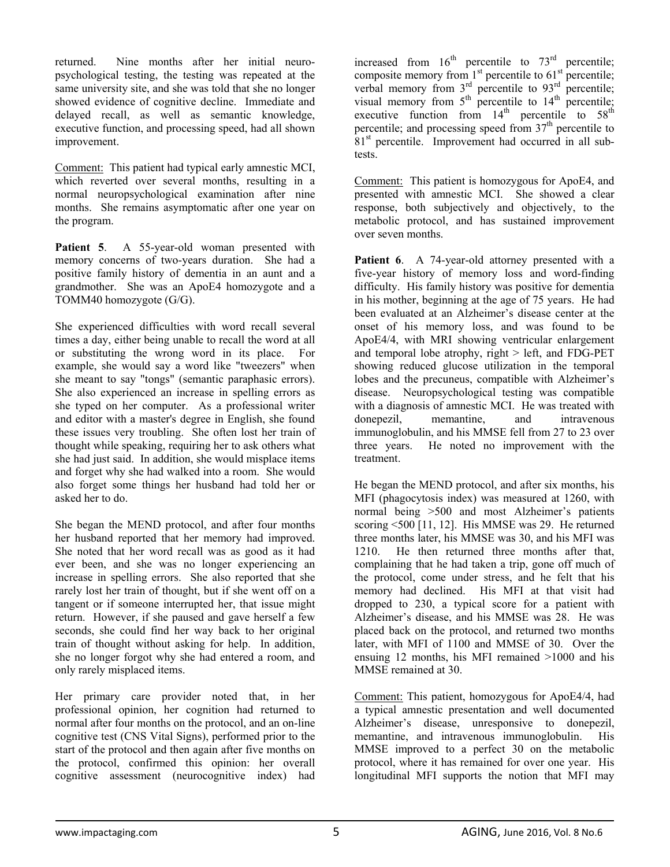returned. Nine months after her initial neuropsychological testing, the testing was repeated at the same university site, and she was told that she no longer showed evidence of cognitive decline. Immediate and delayed recall, as well as semantic knowledge, executive function, and processing speed, had all shown improvement.

Comment: This patient had typical early amnestic MCI, which reverted over several months, resulting in a normal neuropsychological examination after nine months. She remains asymptomatic after one year on the program.

Patient 5. A 55-year-old woman presented with memory concerns of two-years duration. She had a positive family history of dementia in an aunt and a grandmother. She was an ApoE4 homozygote and a TOMM40 homozygote (G/G).

She experienced difficulties with word recall several times a day, either being unable to recall the word at all or substituting the wrong word in its place. For example, she would say a word like "tweezers" when she meant to say "tongs" (semantic paraphasic errors). She also experienced an increase in spelling errors as she typed on her computer. As a professional writer and editor with a master's degree in English, she found these issues very troubling. She often lost her train of thought while speaking, requiring her to ask others what she had just said. In addition, she would misplace items and forget why she had walked into a room. She would also forget some things her husband had told her or asked her to do.

She began the MEND protocol, and after four months her husband reported that her memory had improved. She noted that her word recall was as good as it had ever been, and she was no longer experiencing an increase in spelling errors. She also reported that she rarely lost her train of thought, but if she went off on a tangent or if someone interrupted her, that issue might return. However, if she paused and gave herself a few seconds, she could find her way back to her original train of thought without asking for help. In addition, she no longer forgot why she had entered a room, and only rarely misplaced items.

Her primary care provider noted that, in her professional opinion, her cognition had returned to normal after four months on the protocol, and an on-line cognitive test (CNS Vital Signs), performed prior to the start of the protocol and then again after five months on the protocol, confirmed this opinion: her overall cognitive assessment (neurocognitive index) had

increased from  $16<sup>th</sup>$  percentile to  $73<sup>rd</sup>$  percentile; composite memory from  $1<sup>st</sup>$  percentile to  $61<sup>st</sup>$  percentile; verbal memory from  $3<sup>rd</sup>$  percentile to  $93<sup>rd</sup>$  percentile; visual memory from  $5<sup>th</sup>$  percentile to  $14<sup>th</sup>$  percentile; executive function from  $14<sup>th</sup>$  percentile to  $58<sup>th</sup>$ percentile; and processing speed from 37<sup>th</sup> percentile to 81<sup>st</sup> percentile. Improvement had occurred in all subtests.

Comment: This patient is homozygous for ApoE4, and presented with amnestic MCI. She showed a clear response, both subjectively and objectively, to the metabolic protocol, and has sustained improvement over seven months.

Patient 6. A 74-year-old attorney presented with a five-year history of memory loss and word-finding difficulty. His family history was positive for dementia in his mother, beginning at the age of 75 years. He had been evaluated at an Alzheimer's disease center at the onset of his memory loss, and was found to be ApoE4/4, with MRI showing ventricular enlargement and temporal lobe atrophy, right  $>$  left, and FDG-PET showing reduced glucose utilization in the temporal lobes and the precuneus, compatible with Alzheimer's disease. Neuropsychological testing was compatible with a diagnosis of amnestic MCI. He was treated with donepezil, memantine, and intravenous immunoglobulin, and his MMSE fell from 27 to 23 over three years. He noted no improvement with the treatment.

He began the MEND protocol, and after six months, his MFI (phagocytosis index) was measured at 1260, with normal being >500 and most Alzheimer's patients scoring <500 [11, 12]. His MMSE was 29. He returned three months later, his MMSE was 30, and his MFI was 1210. He then returned three months after that, complaining that he had taken a trip, gone off much of the protocol, come under stress, and he felt that his memory had declined. His MFI at that visit had dropped to 230, a typical score for a patient with Alzheimer's disease, and his MMSE was 28. He was placed back on the protocol, and returned two months later, with MFI of 1100 and MMSE of 30. Over the ensuing 12 months, his MFI remained >1000 and his MMSE remained at 30.

Comment: This patient, homozygous for ApoE4/4, had a typical amnestic presentation and well documented Alzheimer's disease, unresponsive to donepezil, memantine, and intravenous immunoglobulin. His MMSE improved to a perfect 30 on the metabolic protocol, where it has remained for over one year. His longitudinal MFI supports the notion that MFI may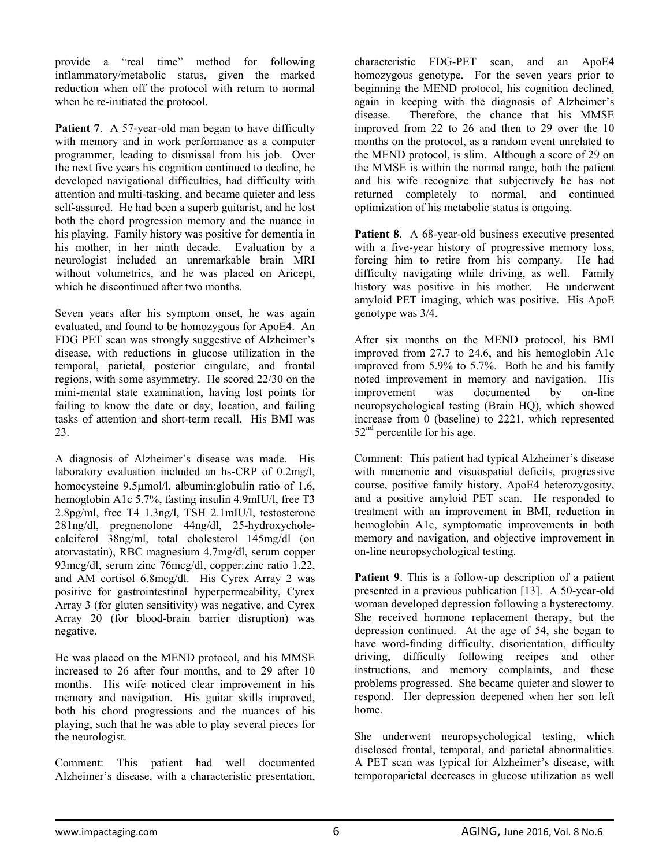provide a "real time" method for following inflammatory/metabolic status, given the marked reduction when off the protocol with return to normal when he re-initiated the protocol.

**Patient 7.** A 57-year-old man began to have difficulty with memory and in work performance as a computer programmer, leading to dismissal from his job. Over the next five years his cognition continued to decline, he developed navigational difficulties, had difficulty with attention and multi-tasking, and became quieter and less self-assured. He had been a superb guitarist, and he lost both the chord progression memory and the nuance in his playing. Family history was positive for dementia in his mother, in her ninth decade. Evaluation by a neurologist included an unremarkable brain MRI without volumetrics, and he was placed on Aricept, which he discontinued after two months.

Seven years after his symptom onset, he was again evaluated, and found to be homozygous for ApoE4. An FDG PET scan was strongly suggestive of Alzheimer's disease, with reductions in glucose utilization in the temporal, parietal, posterior cingulate, and frontal regions, with some asymmetry. He scored 22/30 on the mini-mental state examination, having lost points for failing to know the date or day, location, and failing tasks of attention and short-term recall. His BMI was 23.

A diagnosis of Alzheimer's disease was made. His laboratory evaluation included an hs-CRP of 0.2mg/l, homocysteine 9.5μmol/l, albumin:globulin ratio of 1.6, hemoglobin A1c 5.7%, fasting insulin 4.9mIU/l, free T3 2.8pg/ml, free T4 1.3ng/l, TSH 2.1mIU/l, testosterone 281ng/dl, pregnenolone 44ng/dl, 25-hydroxycholecalciferol 38ng/ml, total cholesterol 145mg/dl (on atorvastatin), RBC magnesium 4.7mg/dl, serum copper 93mcg/dl, serum zinc 76mcg/dl, copper:zinc ratio 1.22, and AM cortisol 6.8mcg/dl. His Cyrex Array 2 was positive for gastrointestinal hyperpermeability, Cyrex Array 3 (for gluten sensitivity) was negative, and Cyrex Array 20 (for blood-brain barrier disruption) was negative.

He was placed on the MEND protocol, and his MMSE increased to 26 after four months, and to 29 after 10 months. His wife noticed clear improvement in his memory and navigation. His guitar skills improved, both his chord progressions and the nuances of his playing, such that he was able to play several pieces for the neurologist.

Comment: This patient had well documented Alzheimer's disease, with a characteristic presentation,

characteristic FDG-PET scan, and an ApoE4 homozygous genotype. For the seven years prior to beginning the MEND protocol, his cognition declined, again in keeping with the diagnosis of Alzheimer's disease. Therefore, the chance that his MMSE improved from 22 to 26 and then to 29 over the 10 months on the protocol, as a random event unrelated to the MEND protocol, is slim. Although a score of 29 on the MMSE is within the normal range, both the patient and his wife recognize that subjectively he has not returned completely to normal, and continued optimization of his metabolic status is ongoing.

**Patient 8.** A 68-year-old business executive presented with a five-year history of progressive memory loss, forcing him to retire from his company. He had difficulty navigating while driving, as well. Family history was positive in his mother. He underwent amyloid PET imaging, which was positive. His ApoE genotype was 3/4.

After six months on the MEND protocol, his BMI improved from 27.7 to 24.6, and his hemoglobin A1c improved from 5.9% to 5.7%. Both he and his family noted improvement in memory and navigation. His improvement was documented by on-line neuropsychological testing (Brain HQ), which showed increase from 0 (baseline) to 2221, which represented  $52<sup>nd</sup>$  percentile for his age.

Comment: This patient had typical Alzheimer's disease with mnemonic and visuospatial deficits, progressive course, positive family history, ApoE4 heterozygosity, and a positive amyloid PET scan. He responded to treatment with an improvement in BMI, reduction in hemoglobin A1c, symptomatic improvements in both memory and navigation, and objective improvement in on-line neuropsychological testing.

**Patient 9.** This is a follow-up description of a patient presented in a previous publication [13]. A 50-year-old woman developed depression following a hysterectomy. She received hormone replacement therapy, but the depression continued. At the age of 54, she began to have word-finding difficulty, disorientation, difficulty driving, difficulty following recipes and other instructions, and memory complaints, and these problems progressed. She became quieter and slower to respond. Her depression deepened when her son left home.

She underwent neuropsychological testing, which disclosed frontal, temporal, and parietal abnormalities. A PET scan was typical for Alzheimer's disease, with temporoparietal decreases in glucose utilization as well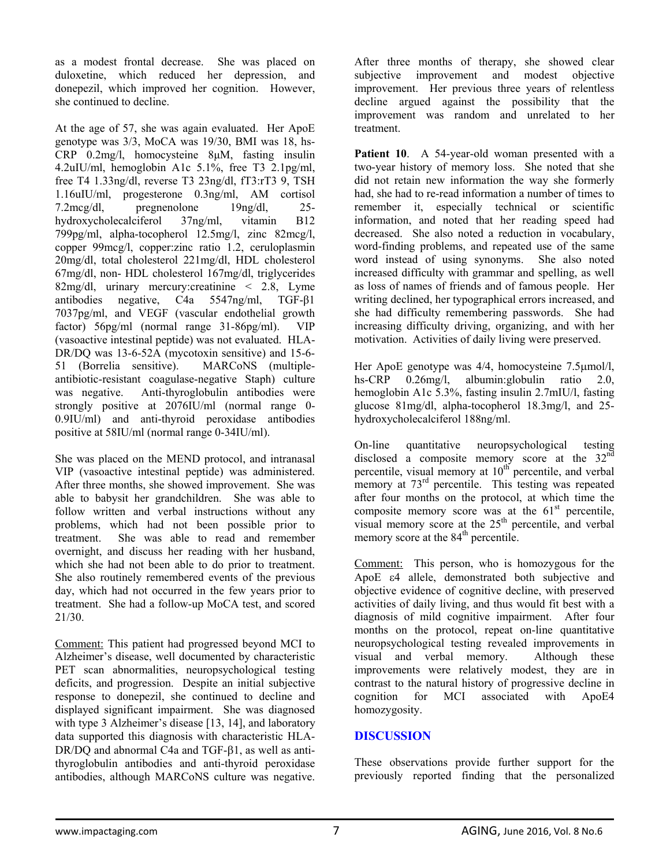as a modest frontal decrease. She was placed on duloxetine, which reduced her depression, and donepezil, which improved her cognition. However, she continued to decline.

At the age of 57, she was again evaluated. Her ApoE genotype was 3/3, MoCA was 19/30, BMI was 18, hs-CRP 0.2mg/l, homocysteine 8μM, fasting insulin 4.2uIU/ml, hemoglobin A1c 5.1%, free T3 2.1pg/ml, free T4 1.33ng/dl, reverse T3 23ng/dl, fT3:rT3 9, TSH 1.16uIU/ml, progesterone 0.3ng/ml, AM cortisol 7.2mcg/dl, pregnenolone 19ng/dl, 25 hydroxycholecalciferol 37ng/ml, vitamin B12 799pg/ml, alpha-tocopherol 12.5mg/l, zinc 82mcg/l, copper 99mcg/l, copper:zinc ratio 1.2, ceruloplasmin 20mg/dl, total cholesterol 221mg/dl, HDL cholesterol 67mg/dl, non- HDL cholesterol 167mg/dl, triglycerides 82mg/dl, urinary mercury:creatinine < 2.8, Lyme antibodies negative, C4a 5547ng/ml, TGF-β1 7037pg/ml, and VEGF (vascular endothelial growth factor) 56pg/ml (normal range 31-86pg/ml). VIP (vasoactive intestinal peptide) was not evaluated. HLA-DR/DQ was 13-6-52A (mycotoxin sensitive) and 15-6- 51 (Borrelia sensitive). MARCoNS (multipleantibiotic-resistant coagulase-negative Staph) culture was negative. Anti-thyroglobulin antibodies were strongly positive at 2076IU/ml (normal range 0- 0.9IU/ml) and anti-thyroid peroxidase antibodies positive at 58IU/ml (normal range 0-34IU/ml).

She was placed on the MEND protocol, and intranasal VIP (vasoactive intestinal peptide) was administered. After three months, she showed improvement. She was able to babysit her grandchildren. She was able to follow written and verbal instructions without any problems, which had not been possible prior to treatment. She was able to read and remember overnight, and discuss her reading with her husband, which she had not been able to do prior to treatment. She also routinely remembered events of the previous day, which had not occurred in the few years prior to treatment. She had a follow-up MoCA test, and scored 21/30.

Comment: This patient had progressed beyond MCI to Alzheimer's disease, well documented by characteristic PET scan abnormalities, neuropsychological testing deficits, and progression. Despite an initial subjective response to donepezil, she continued to decline and displayed significant impairment. She was diagnosed with type 3 Alzheimer's disease [13, 14], and laboratory data supported this diagnosis with characteristic HLA-DR/DQ and abnormal C4a and TGF-β1, as well as antithyroglobulin antibodies and anti-thyroid peroxidase antibodies, although MARCoNS culture was negative.

After three months of therapy, she showed clear subjective improvement and modest objective improvement. Her previous three years of relentless decline argued against the possibility that the improvement was random and unrelated to her treatment.

Patient 10. A 54-year-old woman presented with a two-year history of memory loss. She noted that she did not retain new information the way she formerly had, she had to re-read information a number of times to remember it, especially technical or scientific information, and noted that her reading speed had decreased. She also noted a reduction in vocabulary, word-finding problems, and repeated use of the same word instead of using synonyms. She also noted increased difficulty with grammar and spelling, as well as loss of names of friends and of famous people. Her writing declined, her typographical errors increased, and she had difficulty remembering passwords. She had increasing difficulty driving, organizing, and with her motivation. Activities of daily living were preserved.

Her ApoE genotype was 4/4, homocysteine 7.5μmol/l, hs-CRP 0.26mg/l, albumin: globulin ratio 2.0, hemoglobin A1c 5.3%, fasting insulin 2.7mIU/l, fasting glucose 81mg/dl, alpha-tocopherol 18.3mg/l, and 25 hydroxycholecalciferol 188ng/ml.

On-line quantitative neuropsychological testing disclosed a composite memory score at the 32<sup>nd</sup> percentile, visual memory at  $10<sup>th</sup>$  percentile, and verbal memory at 73<sup>rd</sup> percentile. This testing was repeated after four months on the protocol, at which time the composite memory score was at the  $61<sup>st</sup>$  percentile, visual memory score at the 25<sup>th</sup> percentile, and verbal memory score at the 84<sup>th</sup> percentile.

Comment: This person, who is homozygous for the ApoE ε4 allele, demonstrated both subjective and objective evidence of cognitive decline, with preserved activities of daily living, and thus would fit best with a diagnosis of mild cognitive impairment. After four months on the protocol, repeat on-line quantitative neuropsychological testing revealed improvements in visual and verbal memory. Although these improvements were relatively modest, they are in contrast to the natural history of progressive decline in cognition for MCI associated with ApoE4 homozygosity.

## **DISCUSSION**

These observations provide further support for the previously reported finding that the personalized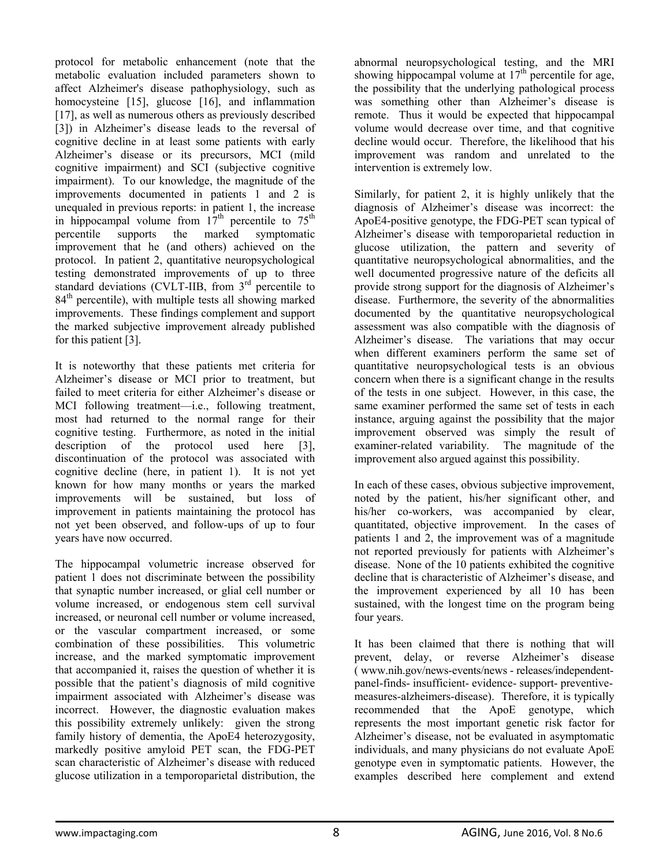protocol for metabolic enhancement (note that the metabolic evaluation included parameters shown to affect Alzheimer's disease pathophysiology, such as homocysteine [15], glucose [16], and inflammation [17], as well as numerous others as previously described [3]) in Alzheimer's disease leads to the reversal of cognitive decline in at least some patients with early Alzheimer's disease or its precursors, MCI (mild cognitive impairment) and SCI (subjective cognitive impairment). To our knowledge, the magnitude of the improvements documented in patients 1 and 2 is unequaled in previous reports: in patient 1, the increase in hippocampal volume from  $17<sup>th</sup>$  percentile to  $75<sup>th</sup>$ percentile supports the marked symptomatic improvement that he (and others) achieved on the protocol. In patient 2, quantitative neuropsychological testing demonstrated improvements of up to three standard deviations (CVLT-IIB, from 3<sup>rd</sup> percentile to 84<sup>th</sup> percentile), with multiple tests all showing marked improvements. These findings complement and support the marked subjective improvement already published for this patient [3].

It is noteworthy that these patients met criteria for Alzheimer's disease or MCI prior to treatment, but failed to meet criteria for either Alzheimer's disease or MCI following treatment—i.e., following treatment, most had returned to the normal range for their cognitive testing. Furthermore, as noted in the initial description of the protocol used here [3], discontinuation of the protocol was associated with cognitive decline (here, in patient 1). It is not yet known for how many months or years the marked improvements will be sustained, but loss of improvement in patients maintaining the protocol has not yet been observed, and follow-ups of up to four years have now occurred.

The hippocampal volumetric increase observed for patient 1 does not discriminate between the possibility that synaptic number increased, or glial cell number or volume increased, or endogenous stem cell survival increased, or neuronal cell number or volume increased, or the vascular compartment increased, or some combination of these possibilities. This volumetric increase, and the marked symptomatic improvement that accompanied it, raises the question of whether it is possible that the patient's diagnosis of mild cognitive impairment associated with Alzheimer's disease was incorrect. However, the diagnostic evaluation makes this possibility extremely unlikely: given the strong family history of dementia, the ApoE4 heterozygosity, markedly positive amyloid PET scan, the FDG-PET scan characteristic of Alzheimer's disease with reduced glucose utilization in a temporoparietal distribution, the

abnormal neuropsychological testing, and the MRI showing hippocampal volume at  $17<sup>th</sup>$  percentile for age, the possibility that the underlying pathological process was something other than Alzheimer's disease is remote. Thus it would be expected that hippocampal volume would decrease over time, and that cognitive decline would occur. Therefore, the likelihood that his improvement was random and unrelated to the intervention is extremely low.

Similarly, for patient 2, it is highly unlikely that the diagnosis of Alzheimer's disease was incorrect: the ApoE4-positive genotype, the FDG-PET scan typical of Alzheimer's disease with temporoparietal reduction in glucose utilization, the pattern and severity of quantitative neuropsychological abnormalities, and the well documented progressive nature of the deficits all provide strong support for the diagnosis of Alzheimer's disease. Furthermore, the severity of the abnormalities documented by the quantitative neuropsychological assessment was also compatible with the diagnosis of Alzheimer's disease. The variations that may occur when different examiners perform the same set of quantitative neuropsychological tests is an obvious concern when there is a significant change in the results of the tests in one subject. However, in this case, the same examiner performed the same set of tests in each instance, arguing against the possibility that the major improvement observed was simply the result of examiner-related variability. The magnitude of the improvement also argued against this possibility.

In each of these cases, obvious subjective improvement, noted by the patient, his/her significant other, and his/her co-workers, was accompanied by clear, quantitated, objective improvement. In the cases of patients 1 and 2, the improvement was of a magnitude not reported previously for patients with Alzheimer's disease. None of the 10 patients exhibited the cognitive decline that is characteristic of Alzheimer's disease, and the improvement experienced by all 10 has been sustained, with the longest time on the program being four years.

It has been claimed that there is nothing that will prevent, delay, or reverse Alzheimer's disease ( www.nih.gov/news-events/news - releases/independentpanel-finds- insufficient- evidence- support- preventivemeasures-alzheimers-disease). Therefore, it is typically recommended that the ApoE genotype, which represents the most important genetic risk factor for Alzheimer's disease, not be evaluated in asymptomatic individuals, and many physicians do not evaluate ApoE genotype even in symptomatic patients. However, the examples described here complement and extend